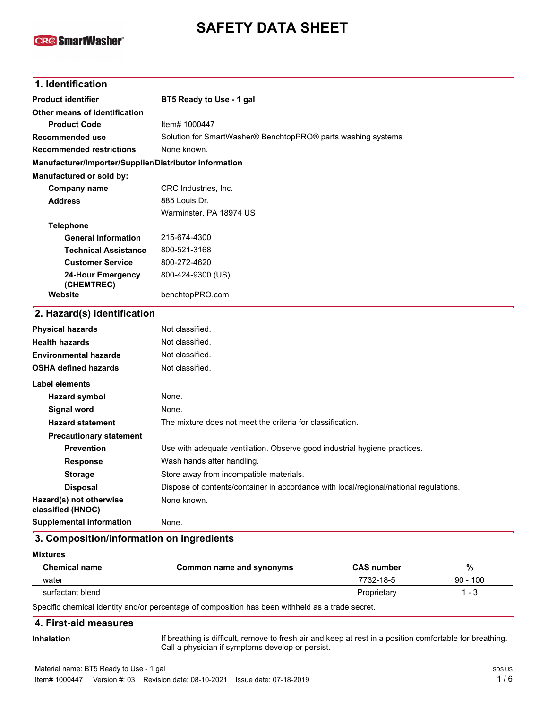# **SAFETY DATA SHEET**

## **CR@SmartWasher®**

| 1. Identification                                      |                                                                                       |
|--------------------------------------------------------|---------------------------------------------------------------------------------------|
| <b>Product identifier</b>                              | BT5 Ready to Use - 1 gal                                                              |
| Other means of identification                          |                                                                                       |
| <b>Product Code</b>                                    | Item# 1000447                                                                         |
| <b>Recommended use</b>                                 | Solution for SmartWasher® BenchtopPRO® parts washing systems                          |
| <b>Recommended restrictions</b>                        | None known.                                                                           |
| Manufacturer/Importer/Supplier/Distributor information |                                                                                       |
| Manufactured or sold by:                               |                                                                                       |
| <b>Company name</b>                                    | CRC Industries, Inc.                                                                  |
| <b>Address</b>                                         | 885 Louis Dr.                                                                         |
|                                                        | Warminster, PA 18974 US                                                               |
| <b>Telephone</b>                                       |                                                                                       |
| <b>General Information</b>                             | 215-674-4300                                                                          |
| <b>Technical Assistance</b>                            | 800-521-3168                                                                          |
| <b>Customer Service</b>                                | 800-272-4620                                                                          |
| <b>24-Hour Emergency</b><br>(CHEMTREC)                 | 800-424-9300 (US)                                                                     |
| Website                                                | benchtopPRO.com                                                                       |
| 2. Hazard(s) identification                            |                                                                                       |
| <b>Physical hazards</b>                                | Not classified.                                                                       |
| <b>Health hazards</b>                                  | Not classified.                                                                       |
| <b>Environmental hazards</b>                           | Not classified.                                                                       |
| <b>OSHA defined hazards</b>                            | Not classified.                                                                       |
| Label elements                                         |                                                                                       |
| <b>Hazard symbol</b>                                   | None.                                                                                 |
| <b>Signal word</b>                                     | None.                                                                                 |
| <b>Hazard statement</b>                                | The mixture does not meet the criteria for classification.                            |
| <b>Precautionary statement</b>                         |                                                                                       |
| <b>Prevention</b>                                      | Use with adequate ventilation. Observe good industrial hygiene practices.             |
| <b>Response</b>                                        | Wash hands after handling.                                                            |
| <b>Storage</b>                                         | Store away from incompatible materials.                                               |
| <b>Disposal</b>                                        | Dispose of contents/container in accordance with local/regional/national regulations. |
| Hazard(s) not otherwise<br>classified (HNOC)           | None known.                                                                           |
| <b>Supplemental information</b>                        | None.                                                                                 |
| 3. Composition/information on ingredients              |                                                                                       |

#### **Mixtures**

| <b>Chemical name</b>                      | Common name and synonyms | <b>CAS number</b> | %          |
|-------------------------------------------|--------------------------|-------------------|------------|
| water                                     |                          | 7732-18-5         | $90 - 100$ |
| surfactant blend                          |                          | Proprietary       | - 3        |
| $\sim$ $\sim$ $\sim$ $\sim$ $\sim$ $\sim$ | .                        |                   |            |

Specific chemical identity and/or percentage of composition has been withheld as a trade secret.

#### **4. First-aid measures**

**Inhalation**

If breathing is difficult, remove to fresh air and keep at rest in a position comfortable for breathing. Call a physician if symptoms develop or persist.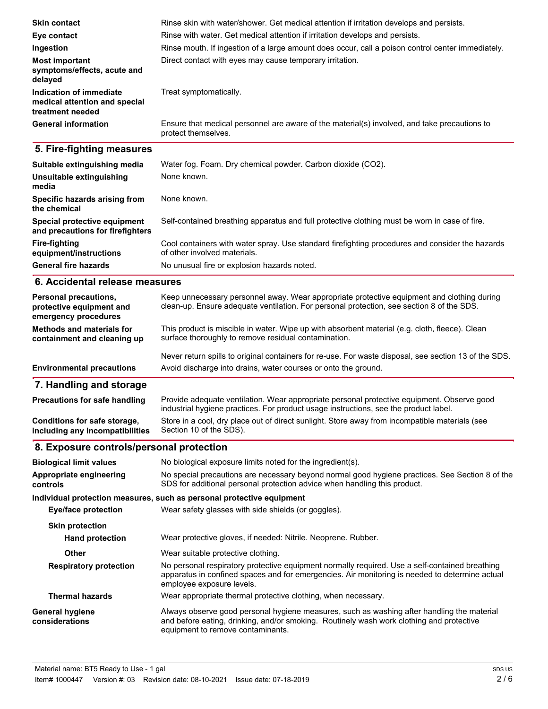| <b>Skin contact</b>                                                          | Rinse skin with water/shower. Get medical attention if irritation develops and persists.                            |
|------------------------------------------------------------------------------|---------------------------------------------------------------------------------------------------------------------|
| Eye contact                                                                  | Rinse with water. Get medical attention if irritation develops and persists.                                        |
| Ingestion                                                                    | Rinse mouth. If ingestion of a large amount does occur, call a poison control center immediately.                   |
| <b>Most important</b><br>symptoms/effects, acute and<br>delayed              | Direct contact with eyes may cause temporary irritation.                                                            |
| Indication of immediate<br>medical attention and special<br>treatment needed | Treat symptomatically.                                                                                              |
| <b>General information</b>                                                   | Ensure that medical personnel are aware of the material(s) involved, and take precautions to<br>protect themselves. |
|                                                                              |                                                                                                                     |
| 5. Fire-fighting measures                                                    |                                                                                                                     |
| Suitable extinguishing media                                                 | Water fog. Foam. Dry chemical powder. Carbon dioxide (CO2).                                                         |
| Unsuitable extinguishing<br>media                                            | None known.                                                                                                         |
| Specific hazards arising from<br>the chemical                                | None known.                                                                                                         |
| Special protective equipment<br>and precautions for firefighters             | Self-contained breathing apparatus and full protective clothing must be worn in case of fire.                       |

| Fire-fighting               | Cool containers with water spray. Use standard firefighting procedures and consider the hazards |
|-----------------------------|-------------------------------------------------------------------------------------------------|
| equipment/instructions      | of other involved materials.                                                                    |
| <b>General fire hazards</b> | No unusual fire or explosion hazards noted.                                                     |

## **6. Accidental release measures**

| Personal precautions,<br>protective equipment and<br>emergency procedures | Keep unnecessary personnel away. Wear appropriate protective equipment and clothing during<br>clean-up. Ensure adequate ventilation. For personal protection, see section 8 of the SDS. |
|---------------------------------------------------------------------------|-----------------------------------------------------------------------------------------------------------------------------------------------------------------------------------------|
| <b>Methods and materials for</b><br>containment and cleaning up           | This product is miscible in water. Wipe up with absorbent material (e.g. cloth, fleece). Clean<br>surface thoroughly to remove residual contamination.                                  |
| <b>Environmental precautions</b>                                          | Never return spills to original containers for re-use. For waste disposal, see section 13 of the SDS.<br>Avoid discharge into drains, water courses or onto the ground.                 |
| 7. Handling and storage                                                   |                                                                                                                                                                                         |
| <b>Precautions for safe handling</b>                                      | Provide adequate ventilation. Wear appropriate personal protective equipment. Observe good<br>industrial hygiene practices. For product usage instructions, see the product label.      |

|                                 | Thuustilai Hyylehe practices. Toi prouuct usage filstructions, see the prouuct label.          |
|---------------------------------|------------------------------------------------------------------------------------------------|
| Conditions for safe storage,    | Store in a cool, dry place out of direct sunlight. Store away from incompatible materials (see |
| including any incompatibilities | Section 10 of the SDS).                                                                        |

## **8. Exposure controls/personal protection**

| <b>Biological limit values</b>           | No biological exposure limits noted for the ingredient(s).                                                                                                                                                                    |
|------------------------------------------|-------------------------------------------------------------------------------------------------------------------------------------------------------------------------------------------------------------------------------|
| Appropriate engineering<br>controls      | No special precautions are necessary beyond normal good hygiene practices. See Section 8 of the<br>SDS for additional personal protection advice when handling this product.                                                  |
|                                          | Individual protection measures, such as personal protective equipment                                                                                                                                                         |
| <b>Eye/face protection</b>               | Wear safety glasses with side shields (or goggles).                                                                                                                                                                           |
| <b>Skin protection</b>                   |                                                                                                                                                                                                                               |
| <b>Hand protection</b>                   | Wear protective gloves, if needed: Nitrile. Neoprene. Rubber.                                                                                                                                                                 |
| Other                                    | Wear suitable protective clothing.                                                                                                                                                                                            |
| <b>Respiratory protection</b>            | No personal respiratory protective equipment normally required. Use a self-contained breathing<br>apparatus in confined spaces and for emergencies. Air monitoring is needed to determine actual<br>employee exposure levels. |
| <b>Thermal hazards</b>                   | Wear appropriate thermal protective clothing, when necessary.                                                                                                                                                                 |
| <b>General hygiene</b><br>considerations | Always observe good personal hygiene measures, such as washing after handling the material<br>and before eating, drinking, and/or smoking. Routinely wash work clothing and protective<br>equipment to remove contaminants.   |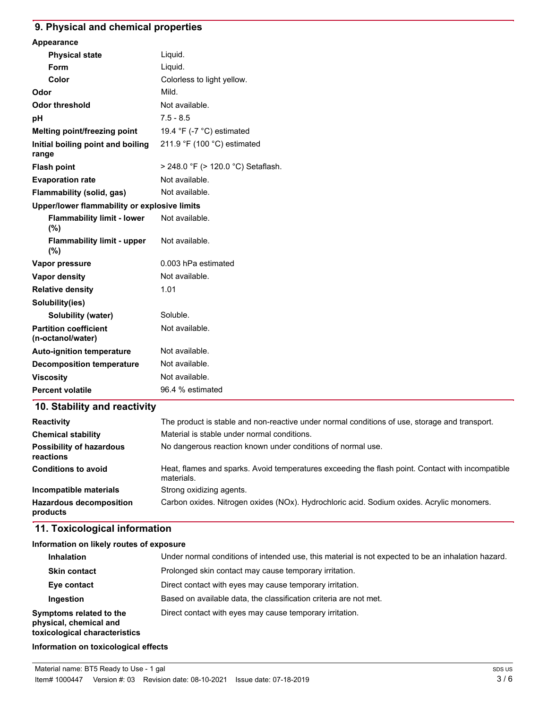## **9. Physical and chemical properties**

| Appearance                                        |                                    |
|---------------------------------------------------|------------------------------------|
| <b>Physical state</b>                             | Liquid.                            |
| Form                                              | Liquid.                            |
| Color                                             | Colorless to light yellow.         |
| Odor                                              | Mild.                              |
| <b>Odor threshold</b>                             | Not available.                     |
| рH                                                | $7.5 - 8.5$                        |
| Melting point/freezing point                      | 19.4 °F (-7 °C) estimated          |
| Initial boiling point and boiling<br>range        | 211.9 °F (100 °C) estimated        |
| <b>Flash point</b>                                | > 248.0 °F (> 120.0 °C) Setaflash. |
| <b>Evaporation rate</b>                           | Not available.                     |
| Flammability (solid, gas)                         | Not available.                     |
| Upper/lower flammability or explosive limits      |                                    |
| <b>Flammability limit - lower</b><br>(%)          | Not available.                     |
| <b>Flammability limit - upper</b><br>(%)          | Not available.                     |
| Vapor pressure                                    | 0.003 hPa estimated                |
| Vapor density                                     | Not available.                     |
| <b>Relative density</b>                           | 1.01                               |
| Solubility(ies)                                   |                                    |
| Solubility (water)                                | Soluble.                           |
| <b>Partition coefficient</b><br>(n-octanol/water) | Not available.                     |
| <b>Auto-ignition temperature</b>                  | Not available.                     |
| <b>Decomposition temperature</b>                  | Not available.                     |
| <b>Viscosity</b>                                  | Not available.                     |
| <b>Percent volatile</b>                           | 96.4 % estimated                   |

## **10. Stability and reactivity**

| <b>Reactivity</b>                            | The product is stable and non-reactive under normal conditions of use, storage and transport.                  |
|----------------------------------------------|----------------------------------------------------------------------------------------------------------------|
| <b>Chemical stability</b>                    | Material is stable under normal conditions.                                                                    |
| <b>Possibility of hazardous</b><br>reactions | No dangerous reaction known under conditions of normal use.                                                    |
| <b>Conditions to avoid</b>                   | Heat, flames and sparks. Avoid temperatures exceeding the flash point. Contact with incompatible<br>materials. |
| Incompatible materials                       | Strong oxidizing agents.                                                                                       |
| <b>Hazardous decomposition</b><br>products   | Carbon oxides. Nitrogen oxides (NOx). Hydrochloric acid. Sodium oxides. Acrylic monomers.                      |

## **11. Toxicological information**

#### **Information on likely routes of exposure**

| <b>Inhalation</b>                                                                  | Under normal conditions of intended use, this material is not expected to be an inhalation hazard. |
|------------------------------------------------------------------------------------|----------------------------------------------------------------------------------------------------|
| <b>Skin contact</b>                                                                | Prolonged skin contact may cause temporary irritation.                                             |
| Eye contact                                                                        | Direct contact with eyes may cause temporary irritation.                                           |
| Ingestion                                                                          | Based on available data, the classification criteria are not met.                                  |
| Symptoms related to the<br>physical, chemical and<br>toxicological characteristics | Direct contact with eyes may cause temporary irritation.                                           |

## **Information on toxicological effects**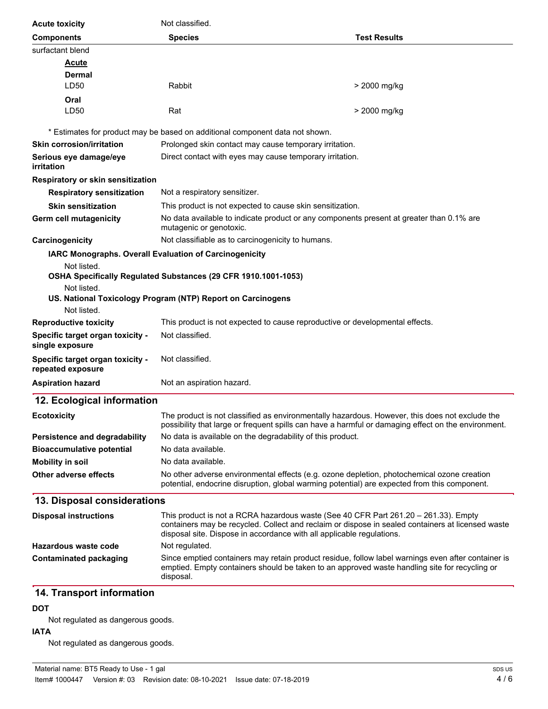| <b>Acute toxicity</b>                                 | Not classified.                                                                                                                                                                                                                                                   |                     |  |
|-------------------------------------------------------|-------------------------------------------------------------------------------------------------------------------------------------------------------------------------------------------------------------------------------------------------------------------|---------------------|--|
| <b>Components</b>                                     | <b>Species</b>                                                                                                                                                                                                                                                    | <b>Test Results</b> |  |
| surfactant blend                                      |                                                                                                                                                                                                                                                                   |                     |  |
| <u>Acute</u>                                          |                                                                                                                                                                                                                                                                   |                     |  |
| <b>Dermal</b>                                         |                                                                                                                                                                                                                                                                   |                     |  |
| LD50                                                  | Rabbit                                                                                                                                                                                                                                                            | > 2000 mg/kg        |  |
| Oral<br>LD50                                          | Rat                                                                                                                                                                                                                                                               | > 2000 mg/kg        |  |
|                                                       | * Estimates for product may be based on additional component data not shown.                                                                                                                                                                                      |                     |  |
| <b>Skin corrosion/irritation</b>                      | Prolonged skin contact may cause temporary irritation.                                                                                                                                                                                                            |                     |  |
| Serious eye damage/eye<br>irritation                  | Direct contact with eyes may cause temporary irritation.                                                                                                                                                                                                          |                     |  |
| Respiratory or skin sensitization                     |                                                                                                                                                                                                                                                                   |                     |  |
| <b>Respiratory sensitization</b>                      | Not a respiratory sensitizer.                                                                                                                                                                                                                                     |                     |  |
| <b>Skin sensitization</b>                             | This product is not expected to cause skin sensitization.                                                                                                                                                                                                         |                     |  |
| Germ cell mutagenicity                                | No data available to indicate product or any components present at greater than 0.1% are<br>mutagenic or genotoxic.                                                                                                                                               |                     |  |
| Carcinogenicity                                       | Not classifiable as to carcinogenicity to humans.                                                                                                                                                                                                                 |                     |  |
|                                                       | IARC Monographs. Overall Evaluation of Carcinogenicity                                                                                                                                                                                                            |                     |  |
| Not listed.                                           | OSHA Specifically Regulated Substances (29 CFR 1910.1001-1053)                                                                                                                                                                                                    |                     |  |
| Not listed.                                           |                                                                                                                                                                                                                                                                   |                     |  |
|                                                       | US. National Toxicology Program (NTP) Report on Carcinogens                                                                                                                                                                                                       |                     |  |
| Not listed.                                           |                                                                                                                                                                                                                                                                   |                     |  |
| <b>Reproductive toxicity</b>                          | This product is not expected to cause reproductive or developmental effects.                                                                                                                                                                                      |                     |  |
| Specific target organ toxicity -<br>single exposure   | Not classified.                                                                                                                                                                                                                                                   |                     |  |
| Specific target organ toxicity -<br>repeated exposure | Not classified.                                                                                                                                                                                                                                                   |                     |  |
| <b>Aspiration hazard</b>                              | Not an aspiration hazard.                                                                                                                                                                                                                                         |                     |  |
| 12. Ecological information                            |                                                                                                                                                                                                                                                                   |                     |  |
| <b>Ecotoxicity</b>                                    | The product is not classified as environmentally hazardous. However, this does not exclude the<br>possibility that large or frequent spills can have a harmful or damaging effect on the environment.                                                             |                     |  |
| <b>Persistence and degradability</b>                  | No data is available on the degradability of this product.                                                                                                                                                                                                        |                     |  |
| <b>Bioaccumulative potential</b>                      | No data available.                                                                                                                                                                                                                                                |                     |  |
| <b>Mobility in soil</b>                               | No data available.                                                                                                                                                                                                                                                |                     |  |
| <b>Other adverse effects</b>                          | No other adverse environmental effects (e.g. ozone depletion, photochemical ozone creation<br>potential, endocrine disruption, global warming potential) are expected from this component.                                                                        |                     |  |
| 13. Disposal considerations                           |                                                                                                                                                                                                                                                                   |                     |  |
| <b>Disposal instructions</b>                          | This product is not a RCRA hazardous waste (See 40 CFR Part 261.20 – 261.33). Empty<br>containers may be recycled. Collect and reclaim or dispose in sealed containers at licensed waste<br>disposal site. Dispose in accordance with all applicable regulations. |                     |  |
| <b>Hazardous waste code</b>                           | Not regulated.                                                                                                                                                                                                                                                    |                     |  |
| <b>Contaminated packaging</b>                         | Since emptied containers may retain product residue, follow label warnings even after container is<br>emptied. Empty containers should be taken to an approved waste handling site for recycling or<br>disposal.                                                  |                     |  |
| 14. Transport information<br><b>DOT</b>               |                                                                                                                                                                                                                                                                   |                     |  |

## Not regulated as dangerous goods.

#### **IATA**

Not regulated as dangerous goods.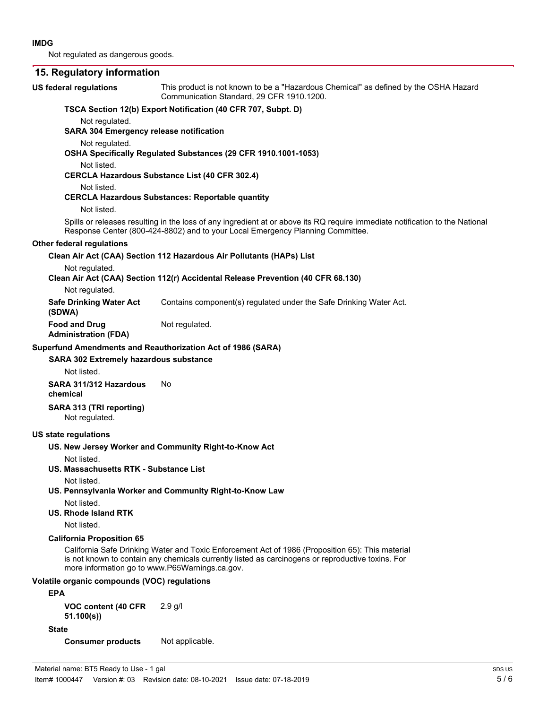Not regulated as dangerous goods.

#### **15. Regulatory information**

#### This product is not known to be a "Hazardous Chemical" as defined by the OSHA Hazard Communication Standard, 29 CFR 1910.1200. **US federal regulations TSCA Section 12(b) Export Notification (40 CFR 707, Subpt. D)** Not regulated. **SARA 304 Emergency release notification** Not regulated. **OSHA Specifically Regulated Substances (29 CFR 1910.1001-1053)** Not listed. **CERCLA Hazardous Substance List (40 CFR 302.4)** Not listed. **CERCLA Hazardous Substances: Reportable quantity** Not listed. Spills or releases resulting in the loss of any ingredient at or above its RQ require immediate notification to the National Response Center (800-424-8802) and to your Local Emergency Planning Committee. **Other federal regulations Clean Air Act (CAA) Section 112 Hazardous Air Pollutants (HAPs) List** Not regulated. **Clean Air Act (CAA) Section 112(r) Accidental Release Prevention (40 CFR 68.130)** Not regulated. **Safe Drinking Water Act** Contains component(s) regulated under the Safe Drinking Water Act. **(SDWA) Food and Drug** Not regulated. **Administration (FDA) SARA 302 Extremely hazardous substance Superfund Amendments and Reauthorization Act of 1986 (SARA)** Not listed. **SARA 311/312 Hazardous** No **chemical SARA 313 (TRI reporting)** Not regulated. **US state regulations US. New Jersey Worker and Community Right-to-Know Act** Not listed. **US. Massachusetts RTK - Substance List** Not listed. **US. Pennsylvania Worker and Community Right-to-Know Law** Not listed. **US. Rhode Island RTK** Not listed. **California Proposition 65** California Safe Drinking Water and Toxic Enforcement Act of 1986 (Proposition 65): This material is not known to contain any chemicals currently listed as carcinogens or reproductive toxins. For more information go to www.P65Warnings.ca.gov. **Volatile organic compounds (VOC) regulations EPA VOC content (40 CFR** 2.9 g/l

**State**

**51.100(s))**

**Consumer products** Not applicable.